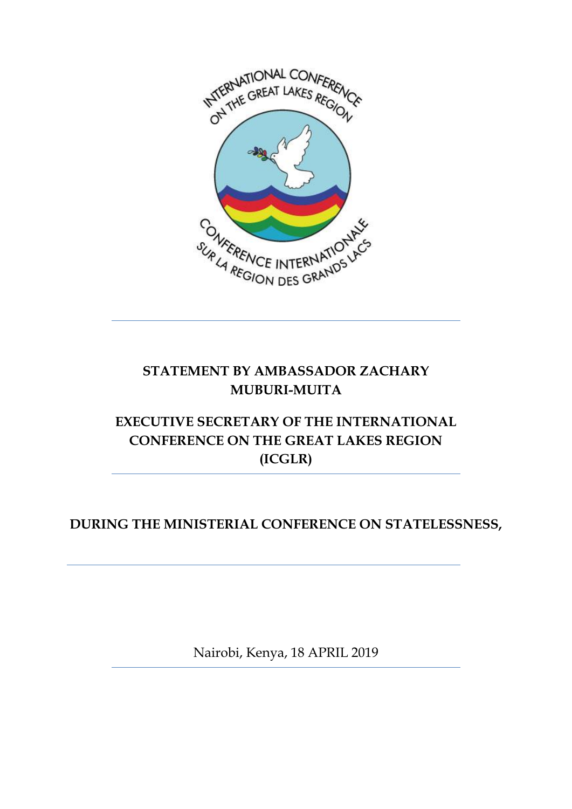

#### **STATEMENT BY AMBASSADOR ZACHARY MUBURI-MUITA**

## **EXECUTIVE SECRETARY OF THE INTERNATIONAL CONFERENCE ON THE GREAT LAKES REGION (ICGLR)**

#### **DURING THE MINISTERIAL CONFERENCE ON STATELESSNESS,**

Nairobi, Kenya, 18 APRIL 2019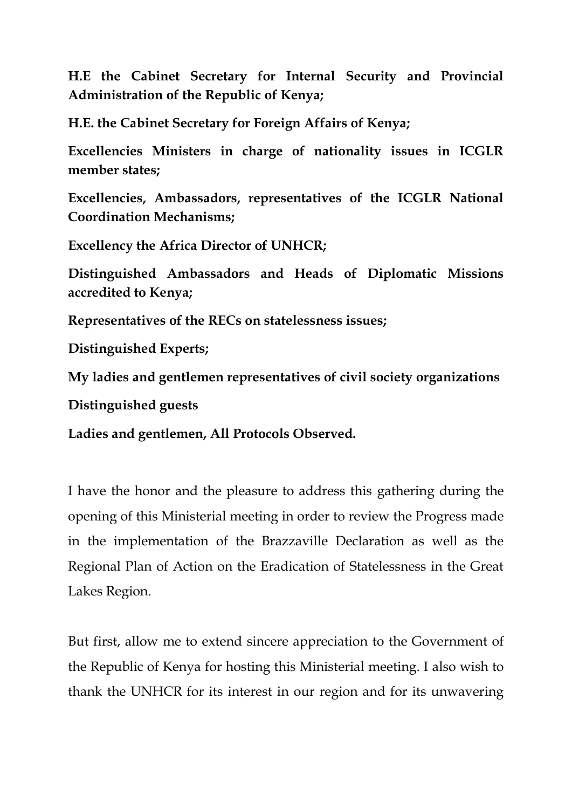**H.E the Cabinet Secretary for Internal Security and Provincial Administration of the Republic of Kenya;**

**H.E. the Cabinet Secretary for Foreign Affairs of Kenya;**

**Excellencies Ministers in charge of nationality issues in ICGLR member states;**

**Excellencies, Ambassadors, representatives of the ICGLR National Coordination Mechanisms;**

**Excellency the Africa Director of UNHCR;**

**Distinguished Ambassadors and Heads of Diplomatic Missions accredited to Kenya;**

**Representatives of the RECs on statelessness issues;**

**Distinguished Experts;**

**My ladies and gentlemen representatives of civil society organizations**

**Distinguished guests**

**Ladies and gentlemen, All Protocols Observed.**

I have the honor and the pleasure to address this gathering during the opening of this Ministerial meeting in order to review the Progress made in the implementation of the Brazzaville Declaration as well as the Regional Plan of Action on the Eradication of Statelessness in the Great Lakes Region.

But first, allow me to extend sincere appreciation to the Government of the Republic of Kenya for hosting this Ministerial meeting. I also wish to thank the UNHCR for its interest in our region and for its unwavering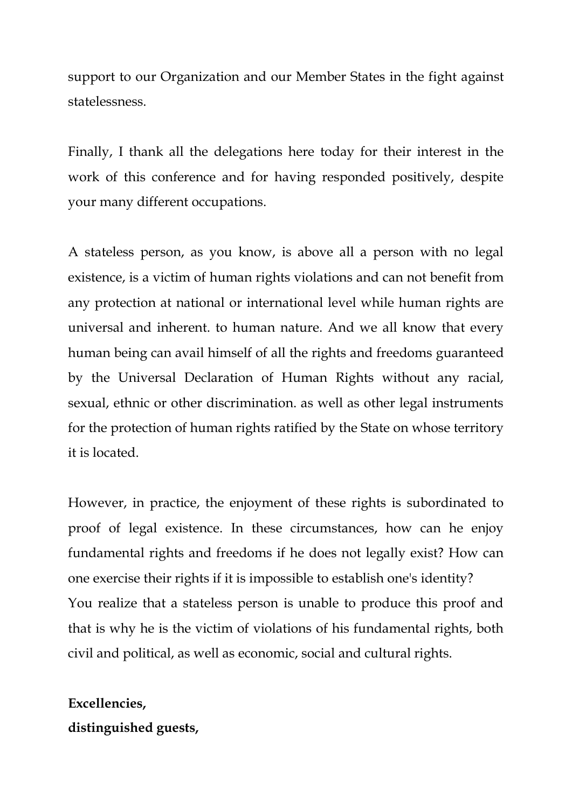support to our Organization and our Member States in the fight against statelessness.

Finally, I thank all the delegations here today for their interest in the work of this conference and for having responded positively, despite your many different occupations.

A stateless person, as you know, is above all a person with no legal existence, is a victim of human rights violations and can not benefit from any protection at national or international level while human rights are universal and inherent. to human nature. And we all know that every human being can avail himself of all the rights and freedoms guaranteed by the Universal Declaration of Human Rights without any racial, sexual, ethnic or other discrimination. as well as other legal instruments for the protection of human rights ratified by the State on whose territory it is located.

However, in practice, the enjoyment of these rights is subordinated to proof of legal existence. In these circumstances, how can he enjoy fundamental rights and freedoms if he does not legally exist? How can one exercise their rights if it is impossible to establish one's identity? You realize that a stateless person is unable to produce this proof and that is why he is the victim of violations of his fundamental rights, both civil and political, as well as economic, social and cultural rights.

## **Excellencies, distinguished guests,**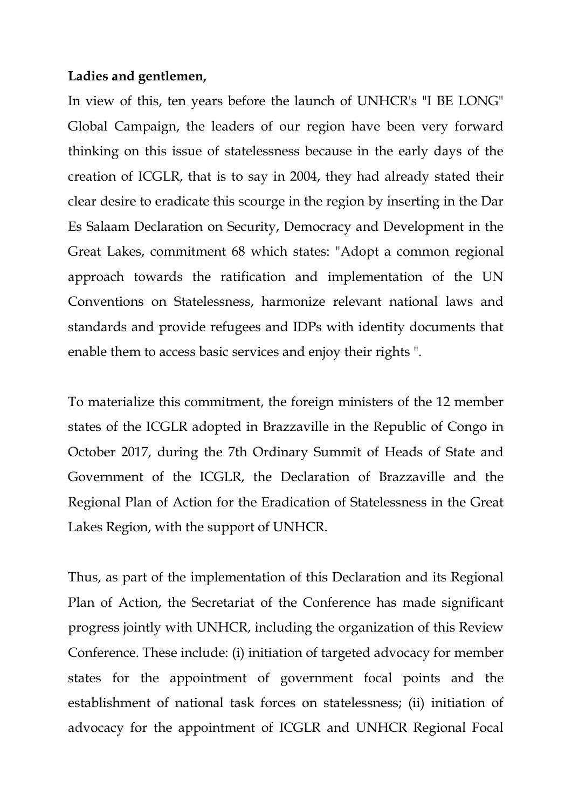#### **Ladies and gentlemen,**

In view of this, ten years before the launch of UNHCR's "I BE LONG" Global Campaign, the leaders of our region have been very forward thinking on this issue of statelessness because in the early days of the creation of ICGLR, that is to say in 2004, they had already stated their clear desire to eradicate this scourge in the region by inserting in the Dar Es Salaam Declaration on Security, Democracy and Development in the Great Lakes, commitment 68 which states: "Adopt a common regional approach towards the ratification and implementation of the UN Conventions on Statelessness, harmonize relevant national laws and standards and provide refugees and IDPs with identity documents that enable them to access basic services and enjoy their rights ".

To materialize this commitment, the foreign ministers of the 12 member states of the ICGLR adopted in Brazzaville in the Republic of Congo in October 2017, during the 7th Ordinary Summit of Heads of State and Government of the ICGLR, the Declaration of Brazzaville and the Regional Plan of Action for the Eradication of Statelessness in the Great Lakes Region, with the support of UNHCR.

Thus, as part of the implementation of this Declaration and its Regional Plan of Action, the Secretariat of the Conference has made significant progress jointly with UNHCR, including the organization of this Review Conference. These include: (i) initiation of targeted advocacy for member states for the appointment of government focal points and the establishment of national task forces on statelessness; (ii) initiation of advocacy for the appointment of ICGLR and UNHCR Regional Focal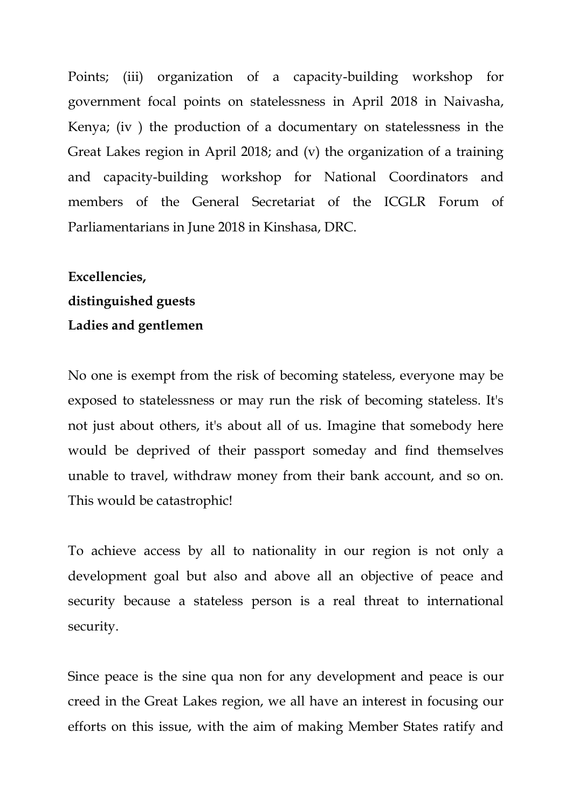Points; (iii) organization of a capacity-building workshop for government focal points on statelessness in April 2018 in Naivasha, Kenya; (iv ) the production of a documentary on statelessness in the Great Lakes region in April 2018; and (v) the organization of a training and capacity-building workshop for National Coordinators and members of the General Secretariat of the ICGLR Forum of Parliamentarians in June 2018 in Kinshasa, DRC.

# **Excellencies, distinguished guests Ladies and gentlemen**

No one is exempt from the risk of becoming stateless, everyone may be exposed to statelessness or may run the risk of becoming stateless. It's not just about others, it's about all of us. Imagine that somebody here would be deprived of their passport someday and find themselves unable to travel, withdraw money from their bank account, and so on. This would be catastrophic!

To achieve access by all to nationality in our region is not only a development goal but also and above all an objective of peace and security because a stateless person is a real threat to international security.

Since peace is the sine qua non for any development and peace is our creed in the Great Lakes region, we all have an interest in focusing our efforts on this issue, with the aim of making Member States ratify and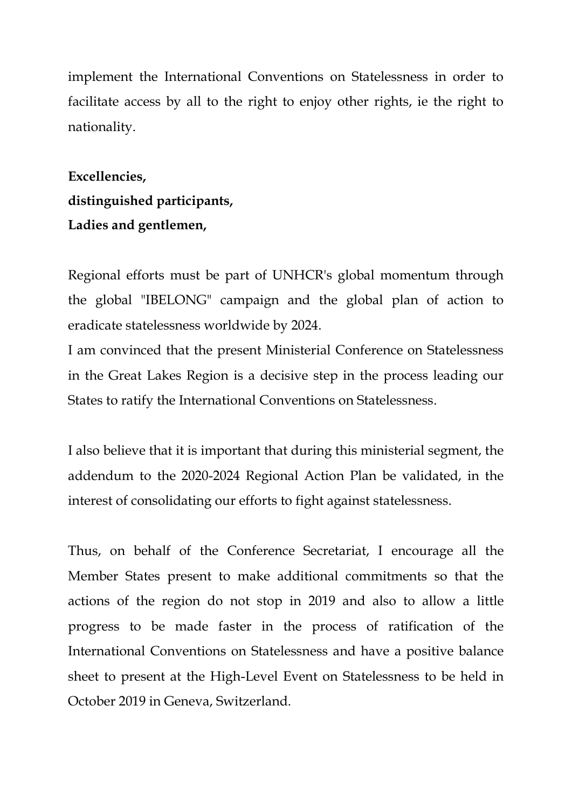implement the International Conventions on Statelessness in order to facilitate access by all to the right to enjoy other rights, ie the right to nationality.

**Excellencies, distinguished participants, Ladies and gentlemen,**

Regional efforts must be part of UNHCR's global momentum through the global "IBELONG" campaign and the global plan of action to eradicate statelessness worldwide by 2024.

I am convinced that the present Ministerial Conference on Statelessness in the Great Lakes Region is a decisive step in the process leading our States to ratify the International Conventions on Statelessness.

I also believe that it is important that during this ministerial segment, the addendum to the 2020-2024 Regional Action Plan be validated, in the interest of consolidating our efforts to fight against statelessness.

Thus, on behalf of the Conference Secretariat, I encourage all the Member States present to make additional commitments so that the actions of the region do not stop in 2019 and also to allow a little progress to be made faster in the process of ratification of the International Conventions on Statelessness and have a positive balance sheet to present at the High-Level Event on Statelessness to be held in October 2019 in Geneva, Switzerland.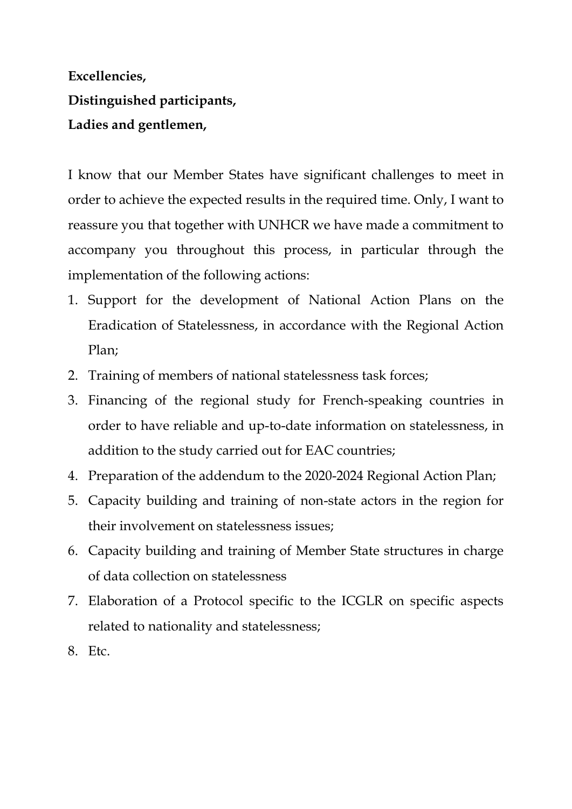# **Excellencies, Distinguished participants, Ladies and gentlemen,**

I know that our Member States have significant challenges to meet in order to achieve the expected results in the required time. Only, I want to reassure you that together with UNHCR we have made a commitment to accompany you throughout this process, in particular through the implementation of the following actions:

- 1. Support for the development of National Action Plans on the Eradication of Statelessness, in accordance with the Regional Action Plan;
- 2. Training of members of national statelessness task forces;
- 3. Financing of the regional study for French-speaking countries in order to have reliable and up-to-date information on statelessness, in addition to the study carried out for EAC countries;
- 4. Preparation of the addendum to the 2020-2024 Regional Action Plan;
- 5. Capacity building and training of non-state actors in the region for their involvement on statelessness issues;
- 6. Capacity building and training of Member State structures in charge of data collection on statelessness
- 7. Elaboration of a Protocol specific to the ICGLR on specific aspects related to nationality and statelessness;
- 8. Etc.